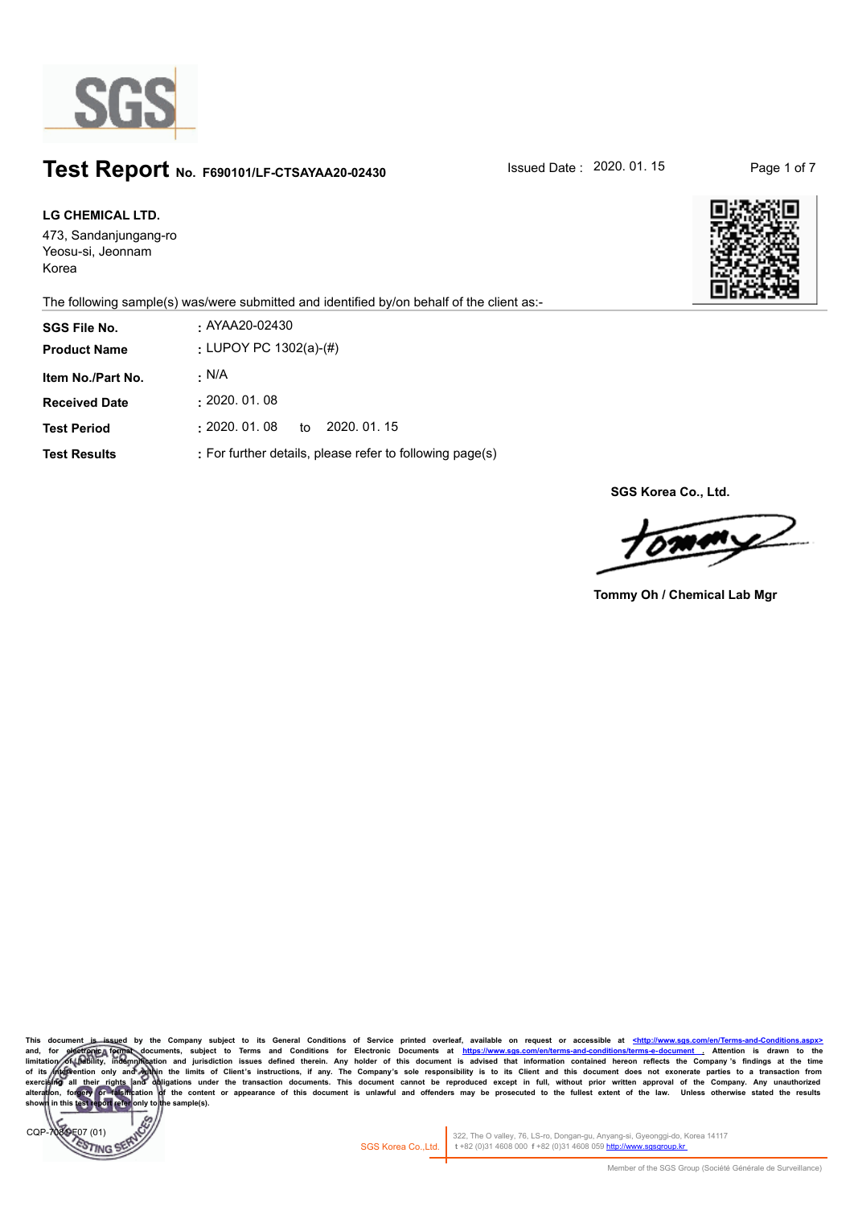

# **Test Report** No. F690101/LF-CTSAYAA20-02430 **Issued Date : 2020. 01. 15** Page 1 of 7

The following sample(s) was/were submitted and identified by/on behalf of the client as:-

| LG CHEMICAL LTD.                                    |                                                                                           |
|-----------------------------------------------------|-------------------------------------------------------------------------------------------|
| 473, Sandanjungang-ro<br>Yeosu-si, Jeonnam<br>Korea |                                                                                           |
|                                                     | The following sample(s) was/were submitted and identified by/on behalf of the client as:- |
| <b>SGS File No.</b>                                 | AYAA20-02430                                                                              |
| <b>Product Name</b>                                 | : LUPOY PC 1302(a)- $(\#)$                                                                |
| Item No./Part No.                                   | - N/A                                                                                     |
| <b>Received Date</b>                                | : 2020.01.08                                                                              |
| <b>Test Period</b>                                  | $: 2020.01.08$ to 2020.01.15                                                              |
| <b>Test Results</b>                                 | : For further details, please refer to following page(s)                                  |

**SGS Korea Co., Ltd.**

 $\sqrt{2}$ 

**Tommy Oh / Chemical Lab Mgr**

This document is issued by the Company subject to its General Conditions of Service printed overleaf, available on request or accessible at <u><http://www.sgs.com/en/Terms-and-Conditions/Terms-and-Conditions/Terms-and-Condit</u> limitation of thebility, indemnification and jurisdiction issues defined therein. Any holder of this document is advised that information contained hereon reflects the Company's findings at the time<br>of its *inte*rvention exercising all their rights and obligations under the transaction documents. This document cannot be reproduced except in full, without prior written approval of the Company. Any unauthorized<br>alteration, forgery of falsifi **shown in this test report refer only to the sample(s).**



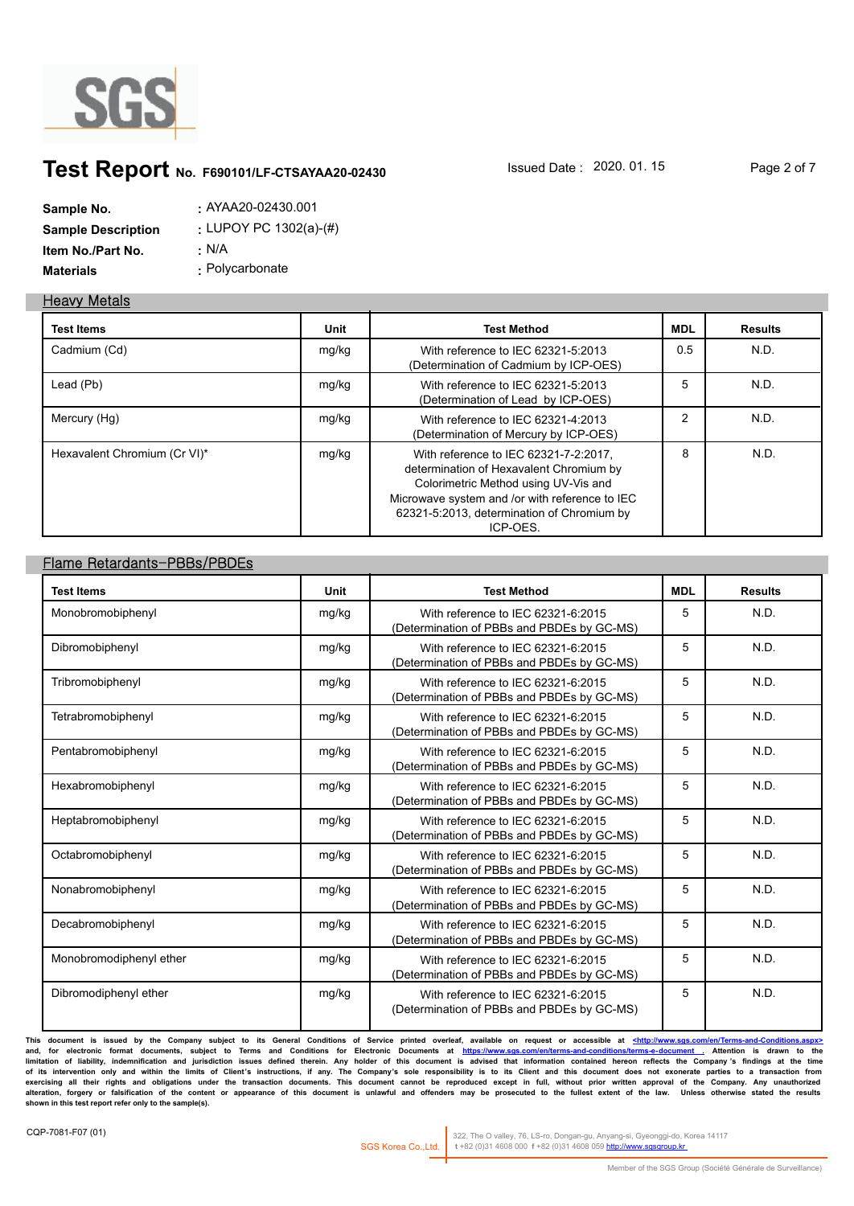

# **Test Report** No. F690101/LF-CTSAYAA20-02430 **Issued Date : 2020. 01. 15** Page 2 of 7

| Sample No.                | $:$ AYAA20-02430.001       |
|---------------------------|----------------------------|
| <b>Sample Description</b> | : LUPOY PC 1302(a)- $(\#)$ |
| Item No./Part No.         | : N/A                      |
| <b>Materials</b>          | : Polycarbonate            |

#### **Heavy Metals**

| <b>Test Items</b>            | Unit  | <b>Test Method</b>                                                                                                                                                                                                                   | <b>MDL</b>     | <b>Results</b> |
|------------------------------|-------|--------------------------------------------------------------------------------------------------------------------------------------------------------------------------------------------------------------------------------------|----------------|----------------|
| Cadmium (Cd)                 | mg/kg | With reference to IEC 62321-5:2013<br>(Determination of Cadmium by ICP-OES)                                                                                                                                                          | 0.5            | N.D.           |
| Lead (Pb)                    | mg/kg | With reference to IEC 62321-5:2013<br>(Determination of Lead by ICP-OES)                                                                                                                                                             | 5              | N.D.           |
| Mercury (Hg)                 | mg/kg | With reference to IEC 62321-4:2013<br>(Determination of Mercury by ICP-OES)                                                                                                                                                          | $\overline{2}$ | N.D.           |
| Hexavalent Chromium (Cr VI)* | mg/kg | With reference to IEC 62321-7-2:2017,<br>determination of Hexavalent Chromium by<br>Colorimetric Method using UV-Vis and<br>Microwave system and /or with reference to IEC<br>62321-5:2013, determination of Chromium by<br>ICP-OES. | 8              | N.D.           |

### **Flame Retardants-PBBs/PBDEs**

| <b>Test Items</b>       | Unit  | <b>Test Method</b>                                                               | <b>MDL</b> | <b>Results</b> |
|-------------------------|-------|----------------------------------------------------------------------------------|------------|----------------|
| Monobromobiphenyl       | mg/kg | With reference to IEC 62321-6:2015<br>(Determination of PBBs and PBDEs by GC-MS) | 5          | N.D.           |
| Dibromobiphenyl         | mg/kg | With reference to IEC 62321-6:2015<br>(Determination of PBBs and PBDEs by GC-MS) | 5          | N.D.           |
| Tribromobiphenyl        | mg/kg | With reference to IEC 62321-6:2015<br>(Determination of PBBs and PBDEs by GC-MS) | 5          | N.D.           |
| Tetrabromobiphenyl      | mg/kg | With reference to IEC 62321-6:2015<br>(Determination of PBBs and PBDEs by GC-MS) | 5          | N.D.           |
| Pentabromobiphenyl      | mg/kg | With reference to IEC 62321-6:2015<br>(Determination of PBBs and PBDEs by GC-MS) | 5          | N.D.           |
| Hexabromobiphenyl       | mg/kg | With reference to IEC 62321-6:2015<br>(Determination of PBBs and PBDEs by GC-MS) | 5          | N.D.           |
| Heptabromobiphenyl      | mg/kg | With reference to IEC 62321-6:2015<br>(Determination of PBBs and PBDEs by GC-MS) | 5          | N.D.           |
| Octabromobiphenyl       | mg/kg | With reference to IEC 62321-6:2015<br>(Determination of PBBs and PBDEs by GC-MS) | 5          | N.D.           |
| Nonabromobiphenyl       | mg/kg | With reference to IEC 62321-6:2015<br>(Determination of PBBs and PBDEs by GC-MS) | 5          | N.D.           |
| Decabromobiphenyl       | mg/kg | With reference to IEC 62321-6:2015<br>(Determination of PBBs and PBDEs by GC-MS) | 5          | N.D.           |
| Monobromodiphenyl ether | mg/kg | With reference to IEC 62321-6:2015<br>(Determination of PBBs and PBDEs by GC-MS) | 5          | N.D.           |
| Dibromodiphenyl ether   | mg/kg | With reference to IEC 62321-6:2015<br>(Determination of PBBs and PBDEs by GC-MS) | 5          | N.D.           |

This document is issued by the Company subject to its General Conditions of Service printed overleaf, available on request or accessible at <u><http://www.sgs.com/en/Terms-and-Conditions.aspx></u><br>and, for electronic format doc limitation of liability, indemnification and jurisdiction issues defined therein. Any holder of this document is advised that information contained hereon reflects the Company's findings at the time<br>of its intervention onl exercising all their rights and obligations under the transaction documents. This document cannot be reproduced except in full, without prior written approval of the Company. Any unauthorized<br>alteration, forgery or falsifi **shown in this test report refer only to the sample(s).**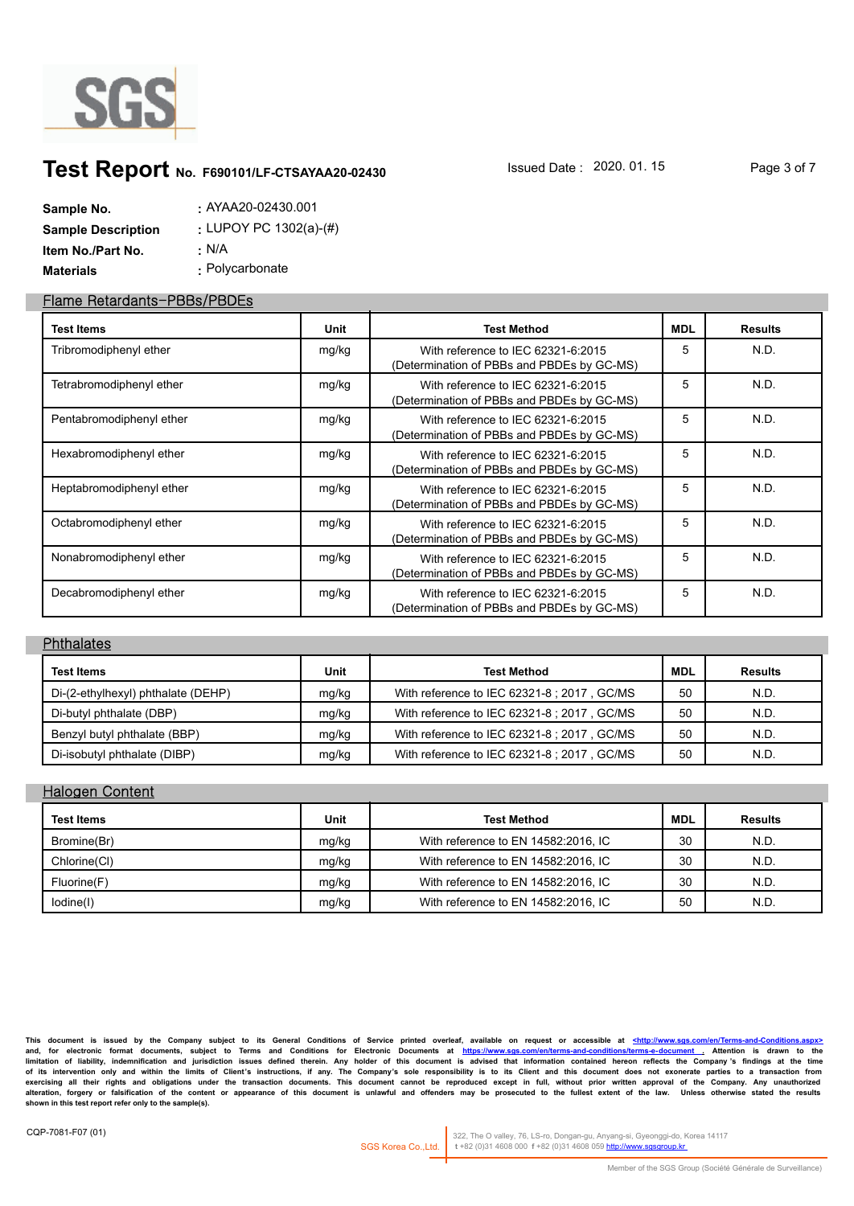

# **Test Report** No. F690101/LF-CTSAYAA20-02430 **Issued Date : 2020. 01. 15** Page 3 of 7

| Sample No.                | $:$ AYAA20-02430.001                     |
|---------------------------|------------------------------------------|
| <b>Sample Description</b> | : LUPOY PC 1302(a)- $\langle \# \rangle$ |
| Item No./Part No.         | ∴ N/A                                    |
| <b>Materials</b>          | : Polycarbonate                          |

#### **Flame Retardants-PBBs/PBDEs**

| <b>Test Items</b>        | Unit  | <b>Test Method</b>                                                               | <b>MDL</b> | <b>Results</b> |
|--------------------------|-------|----------------------------------------------------------------------------------|------------|----------------|
| Tribromodiphenyl ether   | mg/kg | With reference to IEC 62321-6:2015<br>(Determination of PBBs and PBDEs by GC-MS) | 5          | N.D.           |
| Tetrabromodiphenyl ether | mg/kg | With reference to IEC 62321-6:2015<br>(Determination of PBBs and PBDEs by GC-MS) | 5          | N.D.           |
| Pentabromodiphenyl ether | mg/kg | With reference to IEC 62321-6:2015<br>(Determination of PBBs and PBDEs by GC-MS) | 5          | N.D.           |
| Hexabromodiphenyl ether  | mg/kg | With reference to IEC 62321-6:2015<br>(Determination of PBBs and PBDEs by GC-MS) | 5          | N.D.           |
| Heptabromodiphenyl ether | mg/kg | With reference to IEC 62321-6:2015<br>(Determination of PBBs and PBDEs by GC-MS) | 5          | N.D.           |
| Octabromodiphenyl ether  | mg/kg | With reference to IEC 62321-6:2015<br>(Determination of PBBs and PBDEs by GC-MS) | 5          | N.D.           |
| Nonabromodiphenyl ether  | mg/kg | With reference to IEC 62321-6:2015<br>(Determination of PBBs and PBDEs by GC-MS) | 5          | N.D.           |
| Decabromodiphenyl ether  | mg/kg | With reference to IEC 62321-6:2015<br>(Determination of PBBs and PBDEs by GC-MS) | 5          | N.D.           |

#### **Phthalates**

| <b>Test Items</b>                  | Unit  | <b>Test Method</b>                          | <b>MDL</b> | <b>Results</b> |
|------------------------------------|-------|---------------------------------------------|------------|----------------|
| Di-(2-ethylhexyl) phthalate (DEHP) | mg/kg | With reference to IEC 62321-8 ; 2017, GC/MS | 50         | N.D.           |
| Di-butyl phthalate (DBP)           | mg/kg | With reference to IEC 62321-8 ; 2017, GC/MS | 50         | N.D.           |
| Benzyl butyl phthalate (BBP)       | mg/kg | With reference to IEC 62321-8 ; 2017, GC/MS | 50         | N.D.           |
| Di-isobutyl phthalate (DIBP)       | mg/kg | With reference to IEC 62321-8 ; 2017, GC/MS | 50         | N.D.           |

#### **Halogen Content**

| <b>Test Items</b> | Unit  | <b>Test Method</b>                  | <b>MDL</b> | <b>Results</b> |
|-------------------|-------|-------------------------------------|------------|----------------|
| Bromine(Br)       | mg/kg | With reference to EN 14582:2016, IC | 30         | N.D.           |
| Chlorine(CI)      | mg/kg | With reference to EN 14582:2016, IC | 30         | N.D.           |
| Fluorine(F)       | mg/kg | With reference to EN 14582:2016, IC | 30         | N.D.           |
| lodine(I)         | mg/kg | With reference to EN 14582:2016, IC | 50         | N.D.           |

This document is issued by the Company subject to its General Conditions of Service printed overleaf, available on request or accessible at <u><http://www.sgs.com/en/Terms-and-Conditions.aspx></u><br>and, for electronic format doc limitation of liability, indemnification and jurisdiction issues defined therein. Any holder of this document is advised that information contained hereon reflects the Company's findings at the time<br>of its intervention onl exercising all their rights and obligations under the transaction documents. This document cannot be reproduced except in full, without prior written approval of the Company. Any unauthorized<br>alteration, forgery or falsifi **shown in this test report refer only to the sample(s).**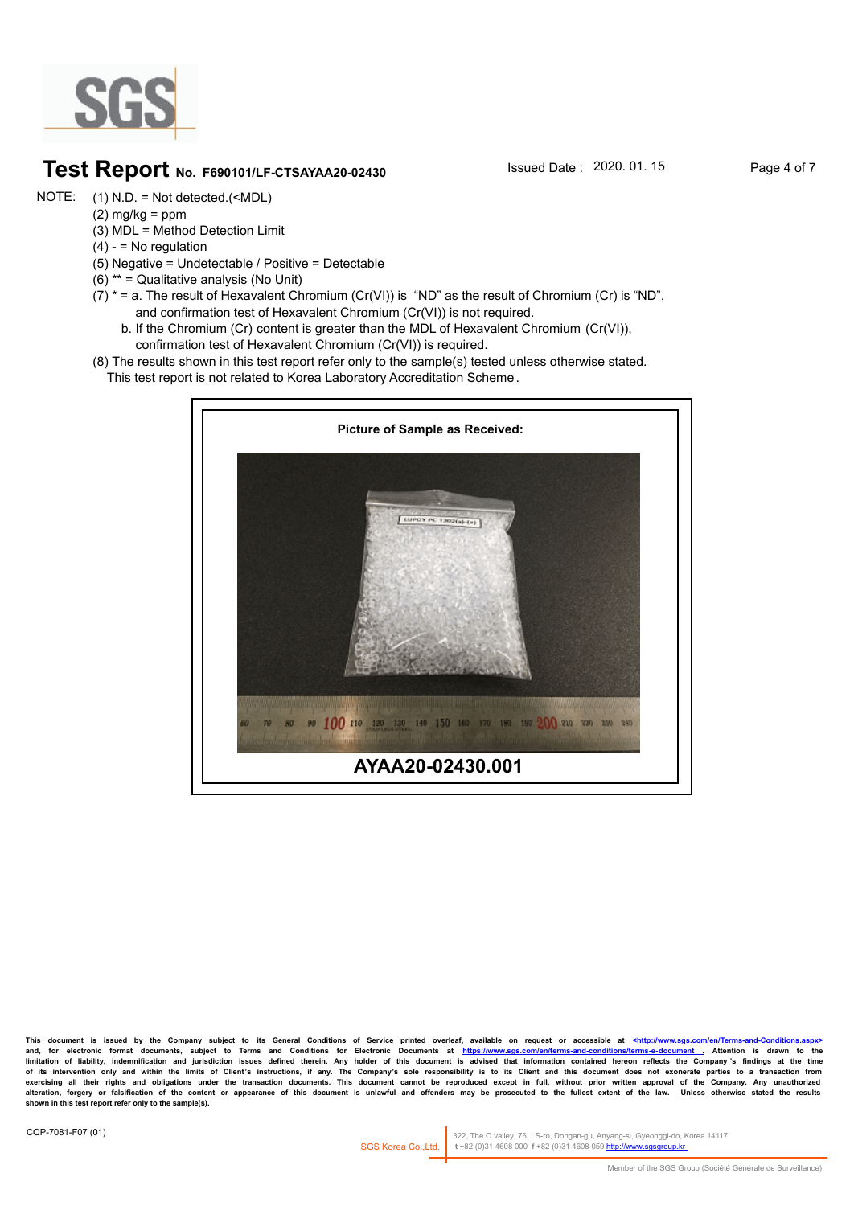

# **Test Report** No. F690101/LF-CTSAYAA20-02430 **Issued Date : 2020. 01. 15** Page 4 of 7

- (1) N.D. = Not detected.(<MDL) NOTE:
- $(2)$  mg/kg = ppm
	- (3) MDL = Method Detection Limit
	- $(4) 5$  No regulation
	- (5) Negative = Undetectable / Positive = Detectable
	- (6) \*\* = Qualitative analysis (No Unit)
	- (7)  $*$  = a. The result of Hexavalent Chromium (Cr(VI)) is "ND" as the result of Chromium (Cr) is "ND", and confirmation test of Hexavalent Chromium (Cr(VI)) is not required.
		- b. If the Chromium (Cr) content is greater than the MDL of Hexavalent Chromium (Cr(VI)), confirmation test of Hexavalent Chromium (Cr(VI)) is required.
	- (8) The results shown in this test report refer only to the sample(s) tested unless otherwise stated.
		- This test report is not related to Korea Laboratory Accreditation Scheme .



**This document is issued by the Company subject to its General Conditions of Service printed overleaf, available on request or accessible at <http://www.sgs.com/en/Terms-and-Conditions.aspx>** and, for electronic format documents, subject to Terms and Conditions for Electronic Documents at https://www.sgs.com/en/terms-and-conditions/terms-e-document . Attention is drawn to the<br>Iimitation of liability, indemnific of its intervention only and within the limits of Client's instructions, if any. The Company's sole responsibility is to its Client and this document does not exonerate parties to a transaction from<br>exercising all their ri alteration, forgery or falsification of the content or appearance of this document is unlawful and offenders may be prosecuted to the fullest extent of the law. Unless otherwise stated the results **shown in this test report refer only to the sample(s).**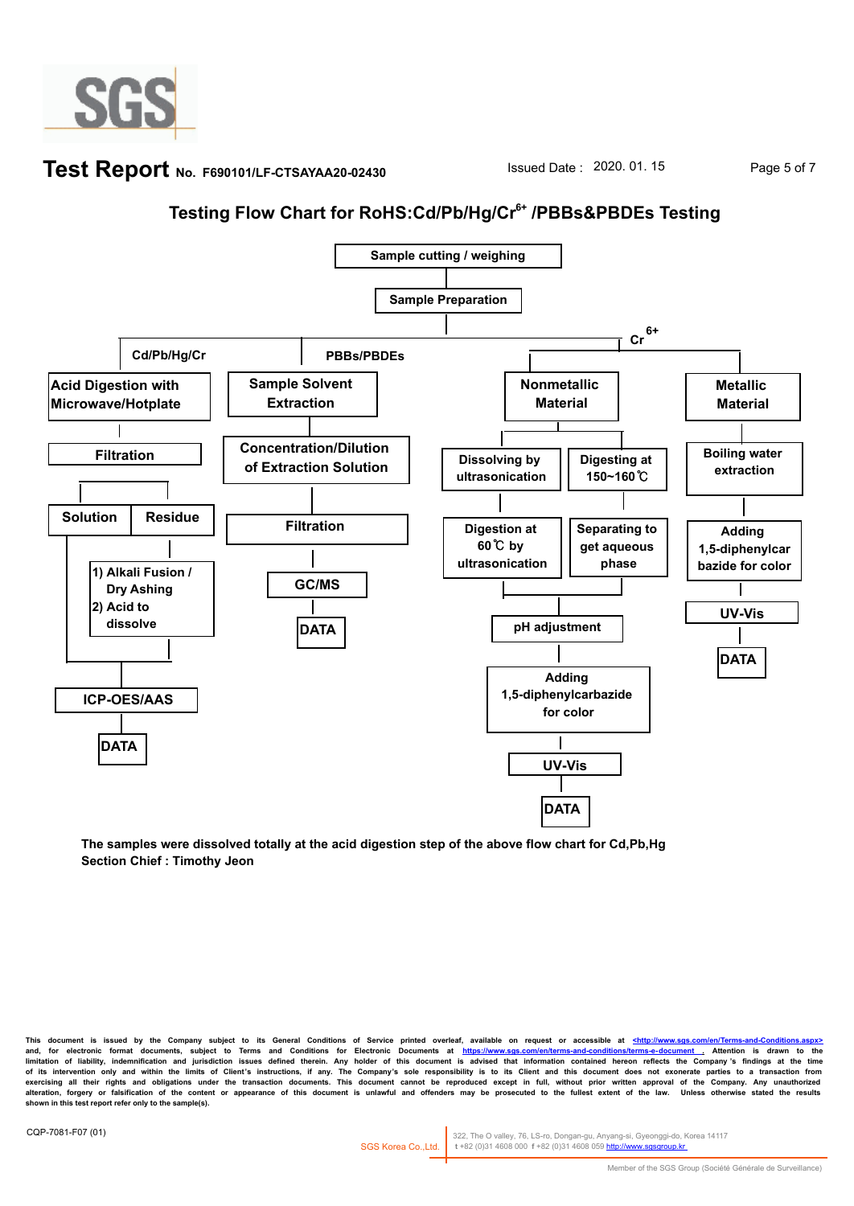

### **Test Report** No. F690101/LF-CTSAYAA20-02430 **Issued Date : 2020. 01. 15** Page 5 of 7

# **Testing Flow Chart for RoHS:Cd/Pb/Hg/Cr6+ /PBBs&PBDEs Testing**



**The samples were dissolved totally at the acid digestion step of the above flow chart for Cd,Pb,Hg Section Chief : Timothy Jeon**

**This document is issued by the Company subject to its General Conditions of Service printed overleaf, available on request or accessible at <http://www.sgs.com/en/Terms-and-Conditions.aspx>** and, for electronic format documents, subject to Terms and Conditions for Electronic Documents at https://www.sgs.com/en/terms-and-conditions/terms-e-document . Attention is drawn to the<br>Iimitation of liability, indemnific of its intervention only and within the limits of Client's instructions, if any. The Company's sole responsibility is to its Client and this document does not exonerate parties to a transaction from<br>exercising all their ri alteration, forgery or falsification of the content or appearance of this document is unlawful and offenders may be prosecuted to the fullest extent of the law. Unless otherwise stated the results **shown in this test report refer only to the sample(s).**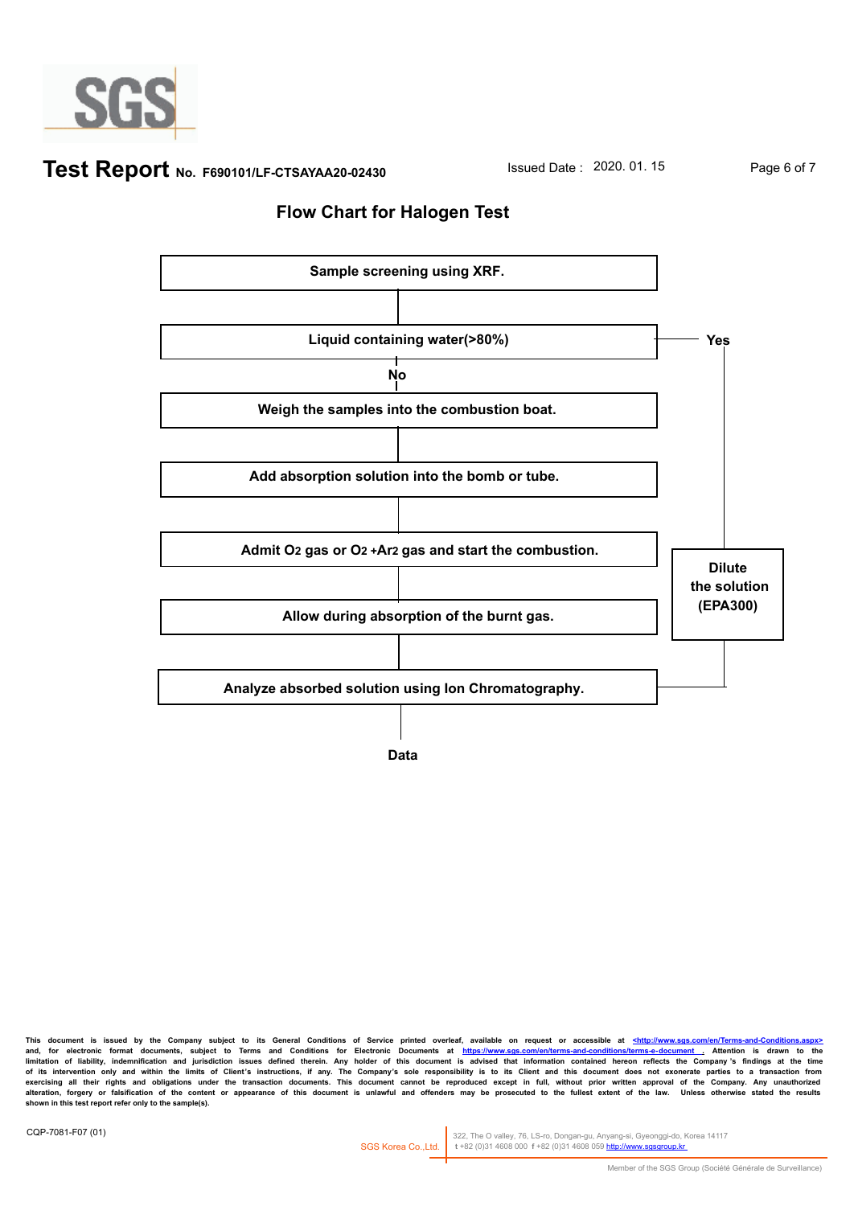

**Test Report** No. F690101/LF-CTSAYAA20-02430 **Issued Date : 2020. 01. 15** Page 6 of 7

### **Flow Chart for Halogen Test**



**This document is issued by the Company subject to its General Conditions of Service printed overleaf, available on request or accessible at <http://www.sgs.com/en/Terms-and-Conditions.aspx>** and, for electronic format documents, subject to Terms and Conditions for Electronic Documents at https://www.sgs.com/en/terms-and-conditions/terms-e-document . Attention is drawn to the<br>Iimitation of liability, indemnific of its intervention only and within the limits of Client's instructions, if any. The Company's sole responsibility is to its Client and this document does not exonerate parties to a transaction from<br>exercising all their ri alteration, forgery or falsification of the content or appearance of this document is unlawful and offenders may be prosecuted to the fullest extent of the law. Unless otherwise stated the results **shown in this test report refer only to the sample(s).**